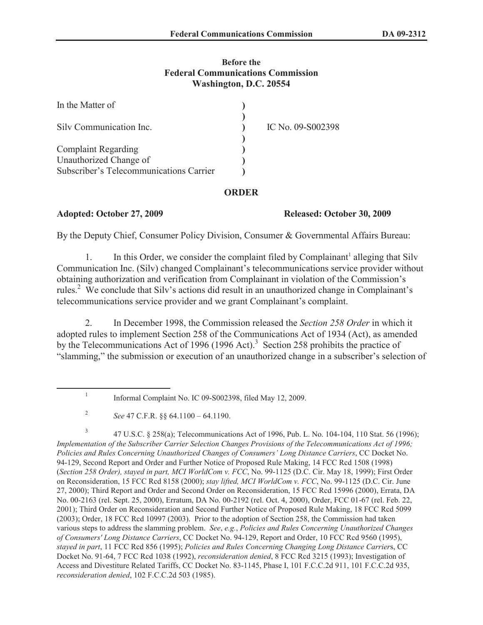## **Before the Federal Communications Commission Washington, D.C. 20554**

| In the Matter of                        |                   |
|-----------------------------------------|-------------------|
| Silv Communication Inc.                 | IC No. 09-S002398 |
| <b>Complaint Regarding</b>              |                   |
| Unauthorized Change of                  |                   |
| Subscriber's Telecommunications Carrier |                   |

### **ORDER**

### **Adopted: October 27, 2009 Released: October 30, 2009**

By the Deputy Chief, Consumer Policy Division, Consumer & Governmental Affairs Bureau:

1. In this Order, we consider the complaint filed by Complainant<sup>1</sup> alleging that Silv Communication Inc. (Silv) changed Complainant's telecommunications service provider without obtaining authorization and verification from Complainant in violation of the Commission's rules.<sup>2</sup> We conclude that Silv's actions did result in an unauthorized change in Complainant's telecommunications service provider and we grant Complainant's complaint.

2. In December 1998, the Commission released the *Section 258 Order* in which it adopted rules to implement Section 258 of the Communications Act of 1934 (Act), as amended by the Telecommunications Act of 1996 (1996 Act).<sup>3</sup> Section 258 prohibits the practice of "slamming," the submission or execution of an unauthorized change in a subscriber's selection of

3 47 U.S.C. § 258(a); Telecommunications Act of 1996, Pub. L. No. 104-104, 110 Stat. 56 (1996); *Implementation of the Subscriber Carrier Selection Changes Provisions of the Telecommunications Act of 1996; Policies and Rules Concerning Unauthorized Changes of Consumers' Long Distance Carriers*, CC Docket No. 94-129, Second Report and Order and Further Notice of Proposed Rule Making, 14 FCC Rcd 1508 (1998) (*Section 258 Order), stayed in part, MCI WorldCom v. FCC*, No. 99-1125 (D.C. Cir. May 18, 1999); First Order on Reconsideration, 15 FCC Rcd 8158 (2000); *stay lifted, MCI WorldCom v. FCC*, No. 99-1125 (D.C. Cir. June 27, 2000); Third Report and Order and Second Order on Reconsideration, 15 FCC Rcd 15996 (2000), Errata, DA No. 00-2163 (rel. Sept. 25, 2000), Erratum, DA No. 00-2192 (rel. Oct. 4, 2000), Order, FCC 01-67 (rel. Feb. 22, 2001); Third Order on Reconsideration and Second Further Notice of Proposed Rule Making, 18 FCC Rcd 5099 (2003); Order, 18 FCC Rcd 10997 (2003). Prior to the adoption of Section 258, the Commission had taken various steps to address the slamming problem. *See*, *e.g.*, *Policies and Rules Concerning Unauthorized Changes of Consumers' Long Distance Carriers*, CC Docket No. 94-129, Report and Order, 10 FCC Rcd 9560 (1995), *stayed in part*, 11 FCC Rcd 856 (1995); *Policies and Rules Concerning Changing Long Distance Carrier*s, CC Docket No. 91-64, 7 FCC Rcd 1038 (1992), *reconsideration denied*, 8 FCC Rcd 3215 (1993); Investigation of Access and Divestiture Related Tariffs, CC Docket No. 83-1145, Phase I, 101 F.C.C.2d 911, 101 F.C.C.2d 935, *reconsideration denied*, 102 F.C.C.2d 503 (1985).

<sup>1</sup> Informal Complaint No. IC 09-S002398, filed May 12, 2009.

<sup>2</sup> *See* 47 C.F.R. §§ 64.1100 – 64.1190.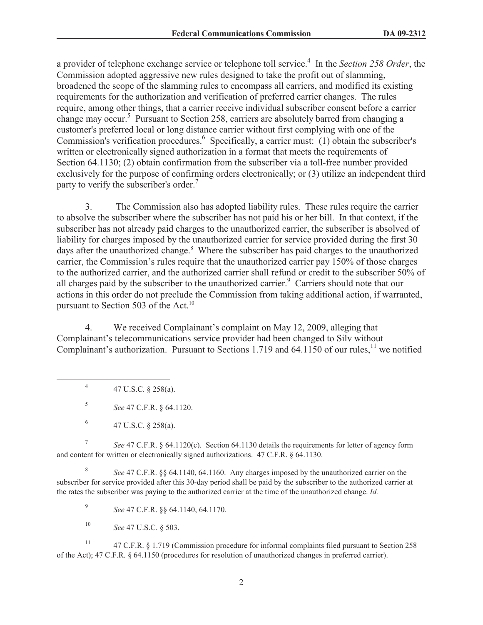a provider of telephone exchange service or telephone toll service.<sup>4</sup> In the *Section 258 Order*, the Commission adopted aggressive new rules designed to take the profit out of slamming, broadened the scope of the slamming rules to encompass all carriers, and modified its existing requirements for the authorization and verification of preferred carrier changes. The rules require, among other things, that a carrier receive individual subscriber consent before a carrier change may occur.<sup>5</sup> Pursuant to Section 258, carriers are absolutely barred from changing a customer's preferred local or long distance carrier without first complying with one of the Commission's verification procedures.<sup>6</sup> Specifically, a carrier must: (1) obtain the subscriber's written or electronically signed authorization in a format that meets the requirements of Section 64.1130; (2) obtain confirmation from the subscriber via a toll-free number provided exclusively for the purpose of confirming orders electronically; or (3) utilize an independent third party to verify the subscriber's order.<sup>7</sup>

3. The Commission also has adopted liability rules. These rules require the carrier to absolve the subscriber where the subscriber has not paid his or her bill. In that context, if the subscriber has not already paid charges to the unauthorized carrier, the subscriber is absolved of liability for charges imposed by the unauthorized carrier for service provided during the first 30 days after the unauthorized change.<sup>8</sup> Where the subscriber has paid charges to the unauthorized carrier, the Commission's rules require that the unauthorized carrier pay 150% of those charges to the authorized carrier, and the authorized carrier shall refund or credit to the subscriber 50% of all charges paid by the subscriber to the unauthorized carrier.<sup>9</sup> Carriers should note that our actions in this order do not preclude the Commission from taking additional action, if warranted, pursuant to Section 503 of the Act. $^{10}$ 

4. We received Complainant's complaint on May 12, 2009, alleging that Complainant's telecommunications service provider had been changed to Silv without Complainant's authorization. Pursuant to Sections 1.719 and 64.1150 of our rules,<sup>11</sup> we notified

4 47 U.S.C. § 258(a).

5 *See* 47 C.F.R. § 64.1120.

7 *See* 47 C.F.R. § 64.1120(c). Section 64.1130 details the requirements for letter of agency form and content for written or electronically signed authorizations. 47 C.F.R. § 64.1130.

8 *See* 47 C.F.R. §§ 64.1140, 64.1160. Any charges imposed by the unauthorized carrier on the subscriber for service provided after this 30-day period shall be paid by the subscriber to the authorized carrier at the rates the subscriber was paying to the authorized carrier at the time of the unauthorized change. *Id.*

9 *See* 47 C.F.R. §§ 64.1140, 64.1170.

<sup>10</sup> *See* 47 U.S.C. § 503.

<sup>11</sup> 47 C.F.R. § 1.719 (Commission procedure for informal complaints filed pursuant to Section 258 of the Act); 47 C.F.R. § 64.1150 (procedures for resolution of unauthorized changes in preferred carrier).

<sup>6</sup> 47 U.S.C. § 258(a).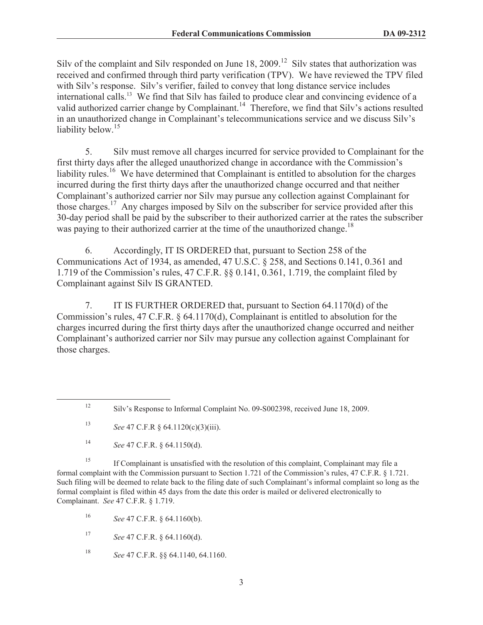Silv of the complaint and Silv responded on June  $18$ ,  $2009$ .<sup>12</sup> Silv states that authorization was received and confirmed through third party verification (TPV). We have reviewed the TPV filed with Silv's response. Silv's verifier, failed to convey that long distance service includes international calls.<sup>13</sup> We find that Silv has failed to produce clear and convincing evidence of a valid authorized carrier change by Complainant.<sup>14</sup> Therefore, we find that Silv's actions resulted in an unauthorized change in Complainant's telecommunications service and we discuss Silv's liability below.<sup>15</sup>

5. Silv must remove all charges incurred for service provided to Complainant for the first thirty days after the alleged unauthorized change in accordance with the Commission's liability rules.<sup>16</sup> We have determined that Complainant is entitled to absolution for the charges incurred during the first thirty days after the unauthorized change occurred and that neither Complainant's authorized carrier nor Silv may pursue any collection against Complainant for those charges.<sup>17</sup> Any charges imposed by Silv on the subscriber for service provided after this 30-day period shall be paid by the subscriber to their authorized carrier at the rates the subscriber was paying to their authorized carrier at the time of the unauthorized change.<sup>18</sup>

6. Accordingly, IT IS ORDERED that, pursuant to Section 258 of the Communications Act of 1934, as amended, 47 U.S.C. § 258, and Sections 0.141, 0.361 and 1.719 of the Commission's rules, 47 C.F.R. §§ 0.141, 0.361, 1.719, the complaint filed by Complainant against Silv IS GRANTED.

7. IT IS FURTHER ORDERED that, pursuant to Section 64.1170(d) of the Commission's rules, 47 C.F.R. § 64.1170(d), Complainant is entitled to absolution for the charges incurred during the first thirty days after the unauthorized change occurred and neither Complainant's authorized carrier nor Silv may pursue any collection against Complainant for those charges.

<sup>15</sup> If Complainant is unsatisfied with the resolution of this complaint, Complainant may file a formal complaint with the Commission pursuant to Section 1.721 of the Commission's rules, 47 C.F.R. § 1.721. Such filing will be deemed to relate back to the filing date of such Complainant's informal complaint so long as the formal complaint is filed within 45 days from the date this order is mailed or delivered electronically to Complainant. *See* 47 C.F.R. § 1.719.

<sup>16</sup> *See* 47 C.F.R. § 64.1160(b).

<sup>17</sup> *See* 47 C.F.R. § 64.1160(d).

<sup>18</sup> *See* 47 C.F.R. §§ 64.1140, 64.1160.

<sup>&</sup>lt;sup>12</sup> Silv's Response to Informal Complaint No. 09-S002398, received June 18, 2009.

<sup>13</sup> *See* 47 C.F.R § 64.1120(c)(3)(iii).

<sup>14</sup> *See* 47 C.F.R. § 64.1150(d).